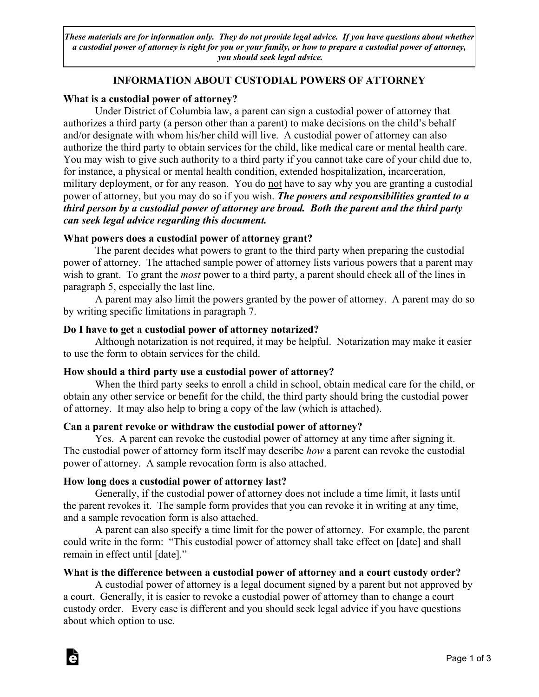*These materials are for information only. They do not provide legal advice. If you have questions about whether a custodial power of attorney is right for you or your family, or how to prepare a custodial power of attorney, you should seek legal advice.*

# **INFORMATION ABOUT CUSTODIAL POWERS OF ATTORNEY**

## **What is a custodial power of attorney?**

Under District of Columbia law, a parent can sign a custodial power of attorney that authorizes a third party (a person other than a parent) to make decisions on the child's behalf and/or designate with whom his/her child will live. A custodial power of attorney can also authorize the third party to obtain services for the child, like medical care or mental health care. You may wish to give such authority to a third party if you cannot take care of your child due to, for instance, a physical or mental health condition, extended hospitalization, incarceration, military deployment, or for any reason. You do not have to say why you are granting a custodial power of attorney, but you may do so if you wish. *The powers and responsibilities granted to a third person by a custodial power of attorney are broad. Both the parent and the third party can seek legal advice regarding this document.*

## **What powers does a custodial power of attorney grant?**

The parent decides what powers to grant to the third party when preparing the custodial power of attorney. The attached sample power of attorney lists various powers that a parent may wish to grant. To grant the *most* power to a third party, a parent should check all of the lines in paragraph 5, especially the last line.

A parent may also limit the powers granted by the power of attorney. A parent may do so by writing specific limitations in paragraph 7.

## **Do I have to get a custodial power of attorney notarized?**

Although notarization is not required, it may be helpful. Notarization may make it easier to use the form to obtain services for the child.

#### **How should a third party use a custodial power of attorney?**

When the third party seeks to enroll a child in school, obtain medical care for the child, or obtain any other service or benefit for the child, the third party should bring the custodial power of attorney. It may also help to bring a copy of the law (which is attached).

## **Can a parent revoke or withdraw the custodial power of attorney?**

Yes. A parent can revoke the custodial power of attorney at any time after signing it. The custodial power of attorney form itself may describe *how* a parent can revoke the custodial power of attorney. A sample revocation form is also attached.

## **How long does a custodial power of attorney last?**

**d** 

Generally, if the custodial power of attorney does not include a time limit, it lasts until the parent revokes it. The sample form provides that you can revoke it in writing at any time, and a sample revocation form is also attached.

A parent can also specify a time limit for the power of attorney. For example, the parent could write in the form: "This custodial power of attorney shall take effect on [date] and shall remain in effect until [date]."

## **What is the difference between a custodial power of attorney and a court custody order?**

A custodial power of attorney is a legal document signed by a parent but not approved by a court. Generally, it is easier to revoke a custodial power of attorney than to change a court custody order. Every case is different and you should seek legal advice if you have questions about which option to use.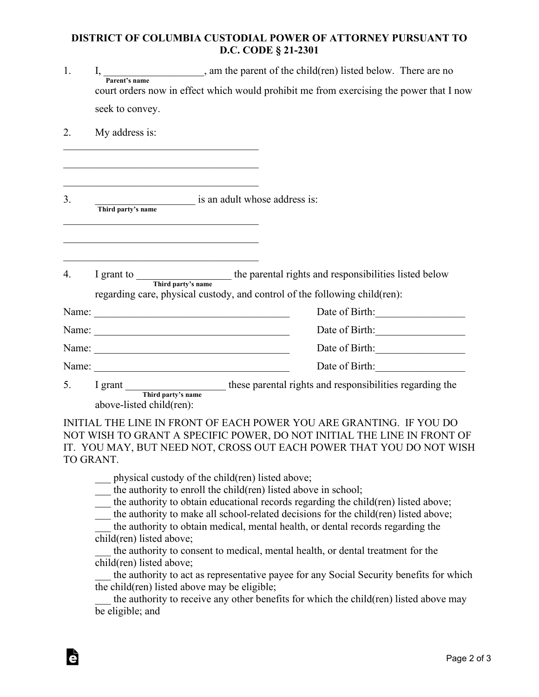## **DISTRICT OF COLUMBIA CUSTODIAL POWER OF ATTORNEY PURSUANT TO D.C. CODE § 21-2301**

| 1. |                                                                                                                      | I, $\frac{1}{\text{Parent's name}}$ , am the parent of the child(ren) listed below. There are no<br>court orders now in effect which would prohibit me from exercising the power that I now |  |
|----|----------------------------------------------------------------------------------------------------------------------|---------------------------------------------------------------------------------------------------------------------------------------------------------------------------------------------|--|
|    | seek to convey.                                                                                                      |                                                                                                                                                                                             |  |
| 2. | My address is:                                                                                                       |                                                                                                                                                                                             |  |
|    | <u> 1989 - Johann John Barn, mars eta industrial eta industrial eta industrial eta industrial eta industrial eta</u> |                                                                                                                                                                                             |  |
| 3. | Third party's name is an adult whose address is:                                                                     |                                                                                                                                                                                             |  |
| 4. |                                                                                                                      | I grant to Third party's name the parental rights and responsibilities listed below<br>regarding care, physical custody, and control of the following child(ren):                           |  |
|    | Name: 2008. 2008. 2010. 2010. 2010. 2010. 2010. 2010. 2010. 2010. 2010. 2010. 2010. 2010. 2010. 2010. 2010. 20       | Date of Birth:                                                                                                                                                                              |  |
|    |                                                                                                                      | Date of Birth:                                                                                                                                                                              |  |
|    |                                                                                                                      | Date of Birth:                                                                                                                                                                              |  |
|    |                                                                                                                      | Date of Birth:                                                                                                                                                                              |  |
|    | 5. I grant Third party's name these parental rights and responsibilities regarding the<br>above-listed child(ren):   |                                                                                                                                                                                             |  |
|    |                                                                                                                      | INITIAL THE LINE IN FRONT OF EACH POWER YOU ARE GRANTING. IF YOU DO<br>MOT WICH TO CD ANT A CRECIEIC ROWER. BO MOT IMITIAL THE LIME IN EROME OF                                             |  |

NOT WISH TO GRANT A SPECIFIC POWER, DO NOT INITIAL THE LINE IN FRONT OF IT. YOU MAY, BUT NEED NOT, CROSS OUT EACH POWER THAT YOU DO NOT WISH TO GRANT.

\_\_\_ physical custody of the child(ren) listed above;

**d** 

\_\_\_ the authority to enroll the child(ren) listed above in school;

the authority to obtain educational records regarding the child(ren) listed above;

the authority to make all school-related decisions for the child(ren) listed above;

the authority to obtain medical, mental health, or dental records regarding the child(ren) listed above;

the authority to consent to medical, mental health, or dental treatment for the child(ren) listed above;

the authority to act as representative payee for any Social Security benefits for which the child(ren) listed above may be eligible;

the authority to receive any other benefits for which the child(ren) listed above may be eligible; and